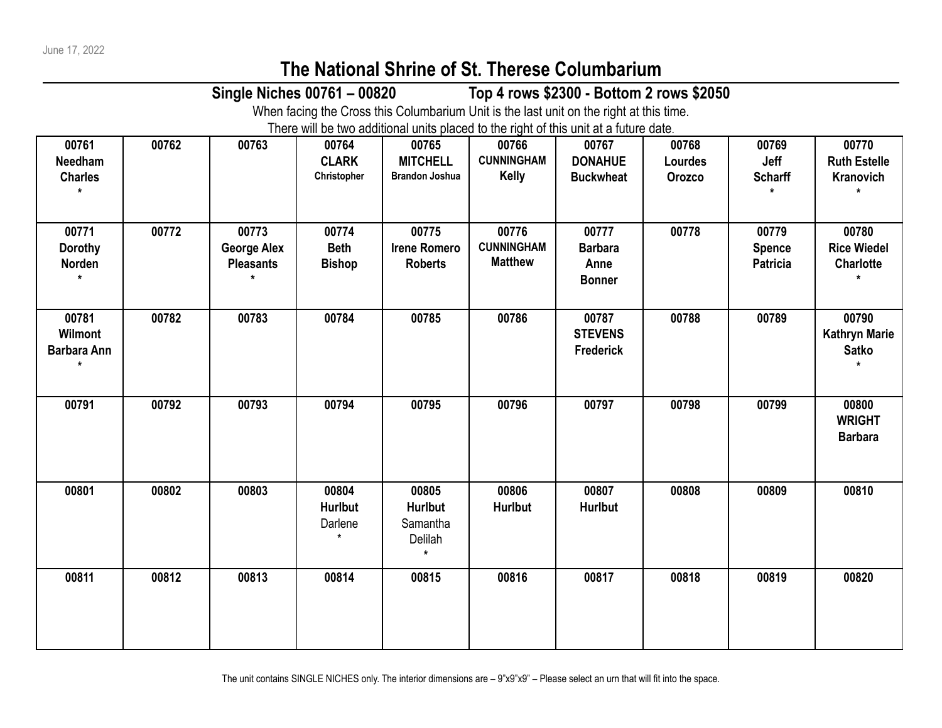## **The National Shrine of St. Therese Columbarium**

**Single Niches 00761 – 00820 Top 4 rows \$2300 - Bottom 2 rows \$2050**

When facing the Cross this Columbarium Unit is the last unit on the right at this time.

There will be two additional units placed to the right of this unit at a future date.

| 00761<br>Needham<br><b>Charles</b><br>$\star$     | 00762 | 00763                                           | 00764<br><b>CLARK</b><br>Christopher  | 00765<br><b>MITCHELL</b><br><b>Brandon Joshua</b>         | 00766<br><b>CUNNINGHAM</b><br>Kelly          | 00767<br><b>DONAHUE</b><br><b>Buckwheat</b>      | 00768<br>Lourdes<br>Orozco | 00769<br>Jeff<br><b>Scharff</b>    | 00770<br><b>Ruth Estelle</b><br>Kranovich<br>$\star$ |
|---------------------------------------------------|-------|-------------------------------------------------|---------------------------------------|-----------------------------------------------------------|----------------------------------------------|--------------------------------------------------|----------------------------|------------------------------------|------------------------------------------------------|
| 00771<br><b>Dorothy</b><br>Norden<br>$\star$      | 00772 | 00773<br><b>George Alex</b><br><b>Pleasants</b> | 00774<br><b>Beth</b><br><b>Bishop</b> | 00775<br><b>Irene Romero</b><br><b>Roberts</b>            | 00776<br><b>CUNNINGHAM</b><br><b>Matthew</b> | 00777<br><b>Barbara</b><br>Anne<br><b>Bonner</b> | 00778                      | 00779<br><b>Spence</b><br>Patricia | 00780<br><b>Rice Wiedel</b><br><b>Charlotte</b>      |
| 00781<br>Wilmont<br><b>Barbara Ann</b><br>$\star$ | 00782 | 00783                                           | 00784                                 | 00785                                                     | 00786                                        | 00787<br><b>STEVENS</b><br><b>Frederick</b>      | 00788                      | 00789                              | 00790<br><b>Kathryn Marie</b><br><b>Satko</b><br>÷   |
| 00791                                             | 00792 | 00793                                           | 00794                                 | 00795                                                     | 00796                                        | 00797                                            | 00798                      | 00799                              | 00800<br><b>WRIGHT</b><br><b>Barbara</b>             |
| 00801                                             | 00802 | 00803                                           | 00804<br><b>Hurlbut</b><br>Darlene    | 00805<br><b>Hurlbut</b><br>Samantha<br>Delilah<br>$\star$ | 00806<br><b>Hurlbut</b>                      | 00807<br><b>Hurlbut</b>                          | 00808                      | 00809                              | 00810                                                |
| 00811                                             | 00812 | 00813                                           | 00814                                 | 00815                                                     | 00816                                        | 00817                                            | 00818                      | 00819                              | 00820                                                |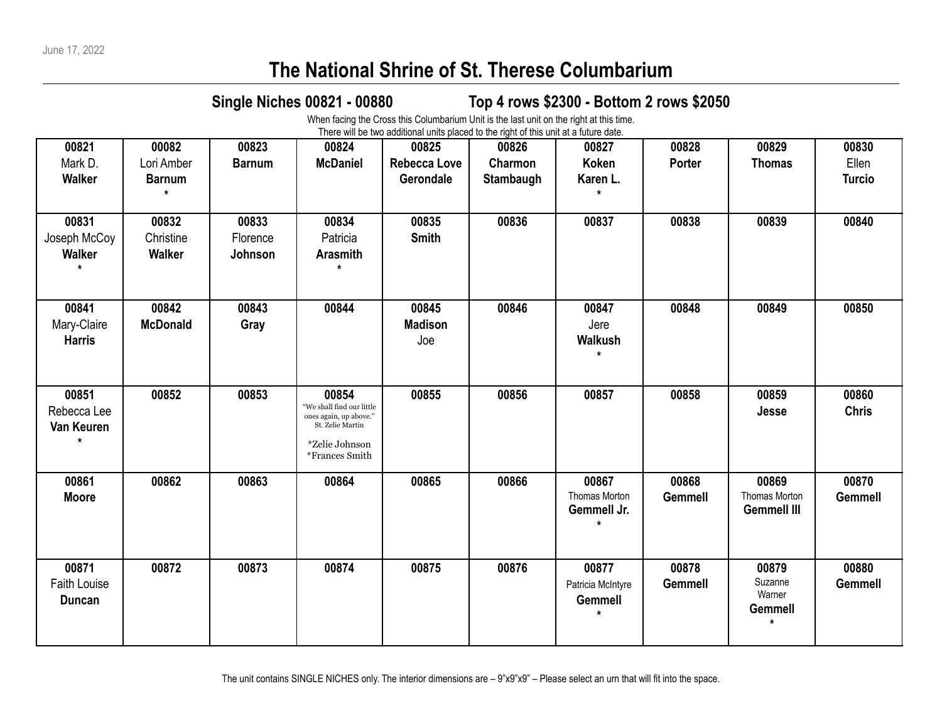## **The National Shrine of St. Therese Columbarium**

## **Single Niches 00821 - 00880 Top 4 rows \$2300 - Bottom 2 rows \$2050**

When facing the Cross this Columbarium Unit is the last unit on the right at this time. There will be two additional units placed to the right of this unit at a future date.

| 00821                                             | 00082                               | 00823                        | 00824                                                                                                                     | more will be two additional anno piacoa to the right of this ann at a fatare date.<br>00825 | 00826                | 00827                                                   | 00828                   | 00829                                            | 00830                   |
|---------------------------------------------------|-------------------------------------|------------------------------|---------------------------------------------------------------------------------------------------------------------------|---------------------------------------------------------------------------------------------|----------------------|---------------------------------------------------------|-------------------------|--------------------------------------------------|-------------------------|
| Mark D.<br>Walker                                 | Lori Amber<br><b>Barnum</b>         | <b>Barnum</b>                | <b>McDaniel</b>                                                                                                           | <b>Rebecca Love</b><br>Gerondale                                                            | Charmon<br>Stambaugh | <b>Koken</b><br>Karen L.                                | Porter                  | <b>Thomas</b>                                    | Ellen<br><b>Turcio</b>  |
| 00831<br>Joseph McCoy<br><b>Walker</b><br>$\star$ | 00832<br>Christine<br><b>Walker</b> | 00833<br>Florence<br>Johnson | 00834<br>Patricia<br><b>Arasmith</b>                                                                                      | 00835<br><b>Smith</b>                                                                       | 00836                | 00837                                                   | 00838                   | 00839                                            | 00840                   |
| 00841<br>Mary-Claire<br><b>Harris</b>             | 00842<br><b>McDonald</b>            | 00843<br>Gray                | 00844                                                                                                                     | 00845<br><b>Madison</b><br>Joe                                                              | 00846                | 00847<br>Jere<br>Walkush<br>$\star$                     | 00848                   | 00849                                            | 00850                   |
| 00851<br>Rebecca Lee<br>Van Keuren                | 00852                               | 00853                        | 00854<br>$\,$ "We shall find our little<br>ones again, up above."<br>St. Zelie Martin<br>*Zelie Johnson<br>*Frances Smith | 00855                                                                                       | 00856                | 00857                                                   | 00858                   | 00859<br>Jesse                                   | 00860<br><b>Chris</b>   |
| 00861<br><b>Moore</b>                             | 00862                               | 00863                        | 00864                                                                                                                     | 00865                                                                                       | 00866                | 00867<br>Thomas Morton<br>Gemmell Jr.                   | 00868<br><b>Gemmell</b> | 00869<br>Thomas Morton<br><b>Gemmell III</b>     | 00870<br><b>Gemmell</b> |
| 00871<br>Faith Louise<br><b>Duncan</b>            | 00872                               | 00873                        | 00874                                                                                                                     | 00875                                                                                       | 00876                | 00877<br>Patricia McIntyre<br><b>Gemmell</b><br>$\star$ | 00878<br><b>Gemmell</b> | 00879<br>Suzanne<br>Warner<br>Gemmell<br>$\star$ | 00880<br><b>Gemmell</b> |